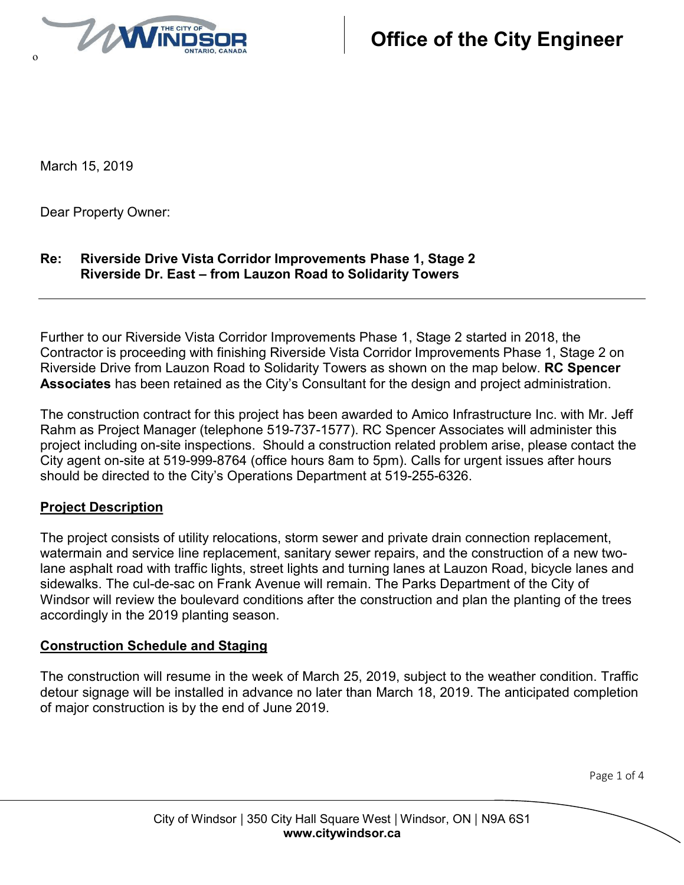

March 15, 2019

Dear Property Owner:

## **Re: Riverside Drive Vista Corridor Improvements Phase 1, Stage 2 Riverside Dr. East – from Lauzon Road to Solidarity Towers**

Further to our Riverside Vista Corridor Improvements Phase 1, Stage 2 started in 2018, the Contractor is proceeding with finishing Riverside Vista Corridor Improvements Phase 1, Stage 2 on Riverside Drive from Lauzon Road to Solidarity Towers as shown on the map below. **RC Spencer Associates** has been retained as the City's Consultant for the design and project administration.

The construction contract for this project has been awarded to Amico Infrastructure Inc. with Mr. Jeff Rahm as Project Manager (telephone 519-737-1577). RC Spencer Associates will administer this project including on-site inspections. Should a construction related problem arise, please contact the City agent on-site at 519-999-8764 (office hours 8am to 5pm). Calls for urgent issues after hours should be directed to the City's Operations Department at 519-255-6326.

### **Project Description**

The project consists of utility relocations, storm sewer and private drain connection replacement, watermain and service line replacement, sanitary sewer repairs, and the construction of a new twolane asphalt road with traffic lights, street lights and turning lanes at Lauzon Road, bicycle lanes and sidewalks. The cul-de-sac on Frank Avenue will remain. The Parks Department of the City of Windsor will review the boulevard conditions after the construction and plan the planting of the trees accordingly in the 2019 planting season.

### **Construction Schedule and Staging**

The construction will resume in the week of March 25, 2019, subject to the weather condition. Traffic detour signage will be installed in advance no later than March 18, 2019. The anticipated completion of major construction is by the end of June 2019.

Page 1 of 4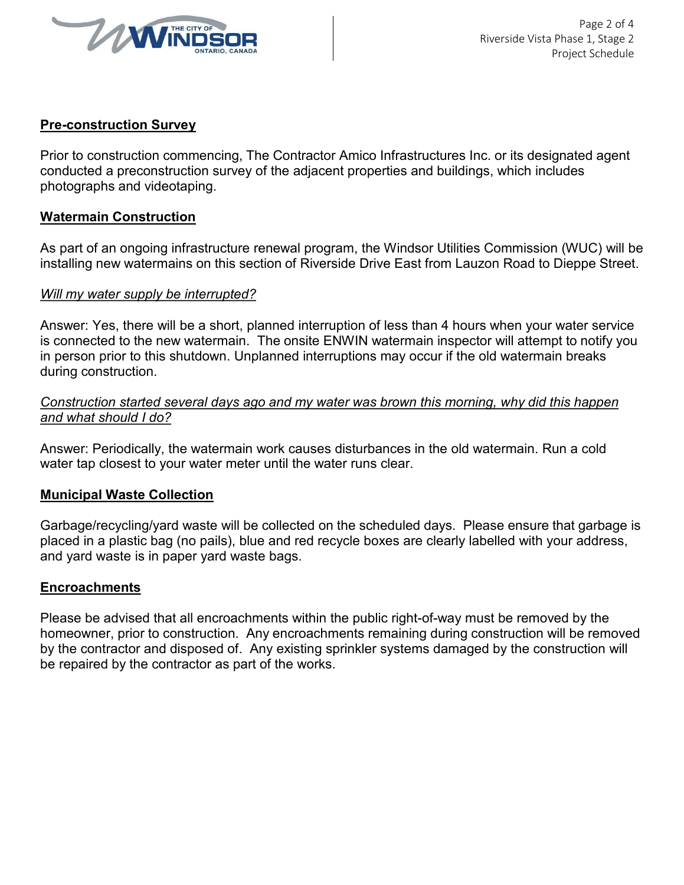

### **Pre-construction Survey**

Prior to construction commencing, The Contractor Amico Infrastructures Inc. or its designated agent conducted a preconstruction survey of the adjacent properties and buildings, which includes photographs and videotaping.

### **Watermain Construction**

As part of an ongoing infrastructure renewal program, the Windsor Utilities Commission (WUC) will be installing new watermains on this section of Riverside Drive East from Lauzon Road to Dieppe Street.

#### *Will my water supply be interrupted?*

Answer: Yes, there will be a short, planned interruption of less than 4 hours when your water service is connected to the new watermain. The onsite ENWIN watermain inspector will attempt to notify you in person prior to this shutdown. Unplanned interruptions may occur if the old watermain breaks during construction.

### *Construction started several days ago and my water was brown this morning, why did this happen and what should I do?*

Answer: Periodically, the watermain work causes disturbances in the old watermain. Run a cold water tap closest to your water meter until the water runs clear.

#### **Municipal Waste Collection**

Garbage/recycling/yard waste will be collected on the scheduled days. Please ensure that garbage is placed in a plastic bag (no pails), blue and red recycle boxes are clearly labelled with your address, and yard waste is in paper yard waste bags.

### **Encroachments**

Please be advised that all encroachments within the public right-of-way must be removed by the homeowner, prior to construction. Any encroachments remaining during construction will be removed by the contractor and disposed of. Any existing sprinkler systems damaged by the construction will be repaired by the contractor as part of the works.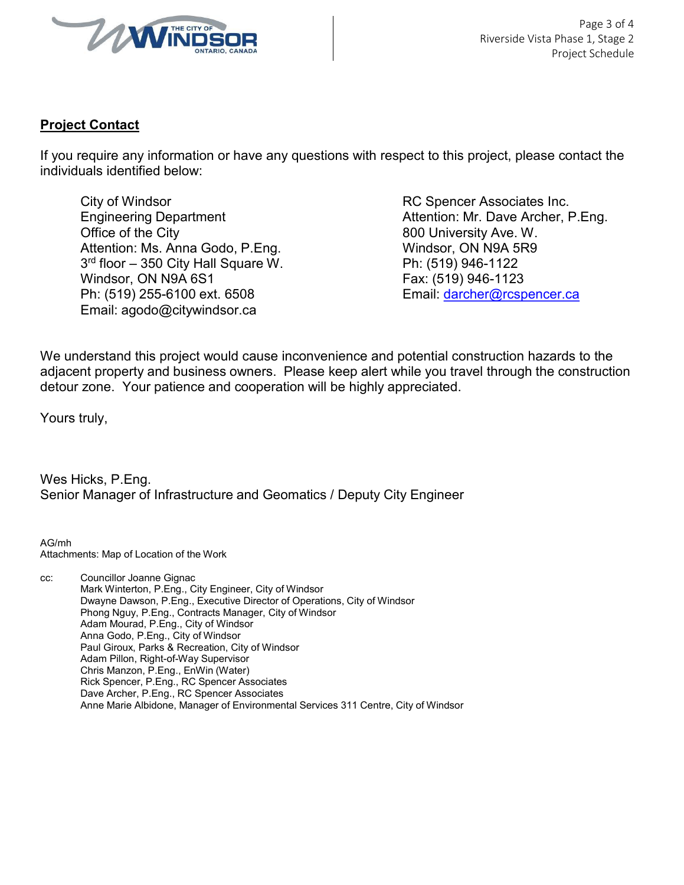

# **Project Contact**

If you require any information or have any questions with respect to this project, please contact the individuals identified below:

City of Windsor **City of Windsor RC Spencer Associates Inc.** Office of the City **800 University Ave. W.** 800 University Ave. W. Attention: Ms. Anna Godo, P. Eng. Windsor, ON N9A 5R9 3<sup>rd</sup> floor – 350 City Hall Square W. **Phillip Phillip Phillip Phillip 946-1122** Windsor, ON N9A 6S1 Fax: (519) 946-1123 Ph: (519) 255-6100 ext. 6508 Email: darcher@rcspencer.ca Email: agodo@citywindsor.ca

Engineering Department **Attention: Mr. Dave Archer, P.Eng.** Attention: Mr. Dave Archer, P.Eng.

We understand this project would cause inconvenience and potential construction hazards to the adjacent property and business owners. Please keep alert while you travel through the construction detour zone. Your patience and cooperation will be highly appreciated.

Yours truly,

Wes Hicks, P.Eng. Senior Manager of Infrastructure and Geomatics / Deputy City Engineer

AG/mh Attachments: Map of Location of the Work

cc: Councillor Joanne Gignac Mark Winterton, P.Eng., City Engineer, City of Windsor Dwayne Dawson, P.Eng., Executive Director of Operations, City of Windsor Phong Nguy, P.Eng., Contracts Manager, City of Windsor Adam Mourad, P.Eng., City of Windsor Anna Godo, P.Eng., City of Windsor Paul Giroux, Parks & Recreation, City of Windsor Adam Pillon, Right-of-Way Supervisor Chris Manzon, P.Eng., EnWin (Water) Rick Spencer, P.Eng., RC Spencer Associates Dave Archer, P.Eng., RC Spencer Associates Anne Marie Albidone, Manager of Environmental Services 311 Centre, City of Windsor